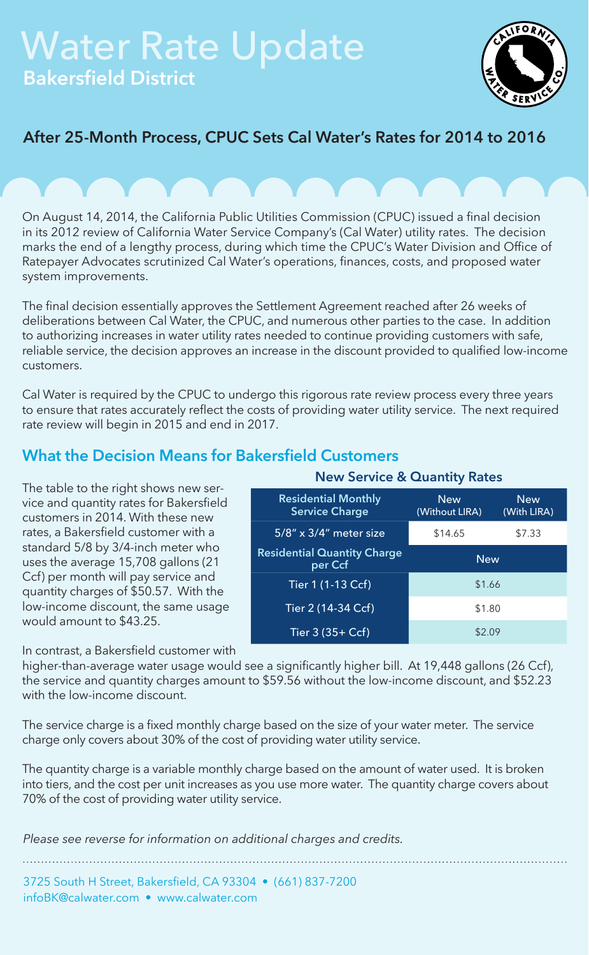# Water Rate Update Bakersfield District



## After 25-Month Process, CPUC Sets Cal Water's Rates for 2014 to 2016

On August 14, 2014, the California Public Utilities Commission (CPUC) issued a final decision in its 2012 review of California Water Service Company's (Cal Water) utility rates. The decision marks the end of a lengthy process, during which time the CPUC's Water Division and Office of Ratepayer Advocates scrutinized Cal Water's operations, finances, costs, and proposed water system improvements.

The final decision essentially approves the Settlement Agreement reached after 26 weeks of deliberations between Cal Water, the CPUC, and numerous other parties to the case. In addition to authorizing increases in water utility rates needed to continue providing customers with safe, reliable service, the decision approves an increase in the discount provided to qualified low-income customers.

Cal Water is required by the CPUC to undergo this rigorous rate review process every three years to ensure that rates accurately reflect the costs of providing water utility service. The next required rate review will begin in 2015 and end in 2017.

### What the Decision Means for Bakersfield Customers

The table to the right shows new service and quantity rates for Bakersfield customers in 2014. With these new rates, a Bakersfield customer with a standard 5/8 by 3/4-inch meter who uses the average 15,708 gallons (21 Ccf) per month will pay service and quantity charges of \$50.57. With the low-income discount, the same usage would amount to \$43.25.

In contrast, a Bakersfield customer with

Residential Monthly Service Charge **New** (Without LIRA) **New** (With LIRA) 5/8" x 3/4" meter size \$14.65 \$7.33 Residential Quantity Charge **per Ccf** New Tier 1 (1-13 Ccf) \$1.66

New Service & Quantity Rates

Tier 2 (14-34 Ccf) \$1.80 Tier 3  $(35 + Ccf)$  \$2.09

higher-than-average water usage would see a significantly higher bill. At 19,448 gallons (26 Ccf), the service and quantity charges amount to \$59.56 without the low-income discount, and \$52.23 with the low-income discount.

The service charge is a fixed monthly charge based on the size of your water meter. The service charge only covers about 30% of the cost of providing water utility service.

The quantity charge is a variable monthly charge based on the amount of water used. It is broken into tiers, and the cost per unit increases as you use more water. The quantity charge covers about 70% of the cost of providing water utility service.

*Please see reverse for information on additional charges and credits.*

3725 South H Street, Bakersfield, CA 93304 • (661) 837-7200 infoBK@calwater.com • www.calwater.com